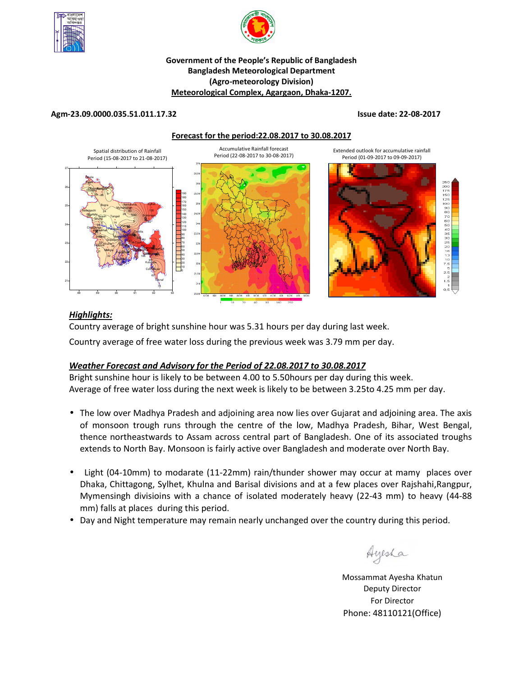



### **Government of the People's Republic of Bangladesh Bangladesh Meteorological Department (Agro-meteorology Division) Meteorological Complex, Agargaon, Dhaka-1207.**

#### **Agm-23.09.0000.035.51.011.17.32 Issue date: 22-08-2017**

**Forecast for the period:22.08.2017 to 30.08.2017**



# *Highlights:*

Country average of bright sunshine hour was 5.31 hours per day during last week.

Country average of free water loss during the previous week was 3.79 mm per day.

# *Weather Forecast and Advisory for the Period of 22.08.2017 to 30.08.2017*

Bright sunshine hour is likely to be between 4.00 to 5.50hours per day during this week. Average of free water loss during the next week is likely to be between 3.25to 4.25 mm per day.

- The low over Madhya Pradesh and adjoining area now lies over Gujarat and adjoining area. The axis of monsoon trough runs through the centre of the low, Madhya Pradesh, Bihar, West Bengal, thence northeastwards to Assam across central part of Bangladesh. One of its associated troughs extends to North Bay. Monsoon is fairly active over Bangladesh and moderate over North Bay.
- Light (04-10mm) to modarate (11-22mm) rain/thunder shower may occur at mamy places over Dhaka, Chittagong, Sylhet, Khulna and Barisal divisions and at a few places over Rajshahi,Rangpur, Mymensingh divisioins with a chance of isolated moderately heavy (22-43 mm) to heavy (44-88 mm) falls at places during this period.
- Day and Night temperature may remain nearly unchanged over the country during this period.

Ayesha

**N.B** Mossammat Ayesha Khatun Deputy Director For Director Phone: 48110121(Office)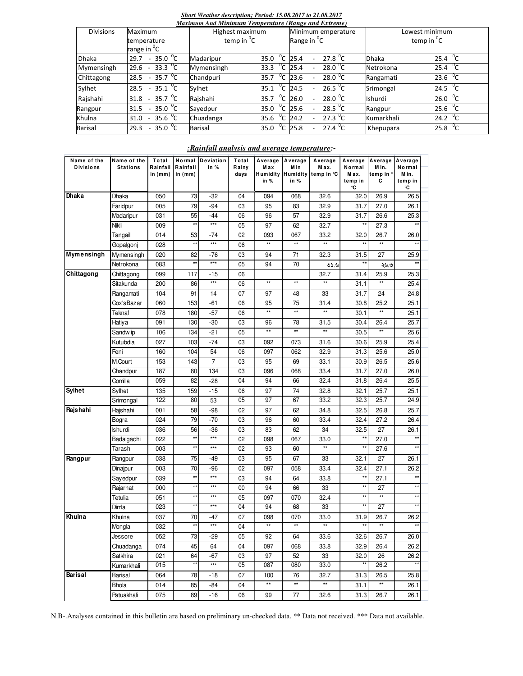#### *Short Weather description; Period: 15.08.2017 to 21.08.2017*

| Maximum And Minimum Temperature (Range and Extreme) |                                                         |                   |      |                |                         |                          |                     |  |                   |                   |  |  |
|-----------------------------------------------------|---------------------------------------------------------|-------------------|------|----------------|-------------------------|--------------------------|---------------------|--|-------------------|-------------------|--|--|
| <b>Divisions</b>                                    | Maximum                                                 | Highest maximum   |      |                | Minimum emperature      |                          |                     |  | Lowest minimum    |                   |  |  |
|                                                     | temperature                                             | temp in ${}^{0}C$ |      |                | Range in <sup>o</sup> C |                          |                     |  | temp in ${}^{0}C$ |                   |  |  |
|                                                     | range in <sup>o</sup> C                                 |                   |      |                |                         |                          |                     |  |                   |                   |  |  |
| <b>Dhaka</b>                                        | 35.0 $\mathrm{^0C}$<br>29.7<br>$\sim$                   | Madaripur         | 35.0 | $^{0}C$        | 25.4                    |                          | 27.8 $^{\circ}$ C   |  | <b>Dhaka</b>      | 25.4 $^{0}C$      |  |  |
| Mymensingh                                          | 33.3 $\mathrm{^0C}$<br>29.6<br>$\sim$                   | Mymensingh        | 33.3 | $^0$ C         | 25.4                    |                          | 28.0 $\mathrm{^0C}$ |  | Netrokona         | 25.4 $^{0}C$      |  |  |
| Chittagong                                          | $-35.7\ ^{0}C$<br>28.5                                  | Chandpuri         | 35.7 | $^0C$          | 23.6                    | $\overline{\phantom{0}}$ | 28.0 $\degree$ C    |  | Rangamati         | 23.6 $^{0}C$      |  |  |
| Sylhet                                              | $35.1$ <sup>o</sup> C<br>28.5<br>$\sim$                 | Sylhet            | 35.1 | <sup>o</sup> c | 24.5                    | $\overline{\phantom{a}}$ | 26.5 $\sqrt[6]{C}$  |  | Srimongal         | 24.5 $^{0}C$      |  |  |
| Rajshahi                                            | 35.7 $\mathrm{^0C}$<br>31.8<br>$\overline{\phantom{a}}$ | Rajshahi          | 35.7 | °c             | 26.0                    | $\overline{\phantom{a}}$ | $28.0^{0}C$         |  | Ishurdi           | 26.0 $^{\circ}$ C |  |  |
| Rangpur                                             | 35.0 $\mathrm{^0C}$<br>31.5<br>$\overline{\phantom{a}}$ | Sayedpur          | 35.0 | $^0$ C         | 25.6                    |                          | 28.5 $\sqrt[6]{C}$  |  | Rangpur           | 25.6 $^{0}$ C     |  |  |
| Khulna                                              | $35.6\text{ °C}$<br>31.0<br>$\sim$                      | Chuadanga         | 35.6 | $^0C$          | 24.2                    | $\overline{\phantom{0}}$ | 27.3 $^{\circ}$ C   |  | Kumarkhali        | 24.2 $^{0}C$      |  |  |
| <b>Barisal</b>                                      | 35.0 $^{0}$ C<br>29.3<br>$\overline{\phantom{a}}$       | <b>Barisal</b>    | 35.0 | °c             | 25.8                    |                          | 27.4 $\sqrt[6]{C}$  |  | Khepupara         | 25.8 $\degree$ C  |  |  |

## *:Rainfall analysis and average temperature:-*

| Name of the      | Name of the     | Total     | Normal       | Deviation         | Total | Average      | Average         | Average                      |                 | Average Average Average |                 |  |
|------------------|-----------------|-----------|--------------|-------------------|-------|--------------|-----------------|------------------------------|-----------------|-------------------------|-----------------|--|
| <b>Divisions</b> | <b>Stations</b> | Rainfall  | Rainfall     | in %              | Rainy | Max          | M in            | M ax.                        | Normal          | M in.                   | Normal<br>Min.  |  |
|                  |                 | in $(mm)$ | in $(mm)$    |                   | days  | in %         | in %            | Humidity Humidity temp in °C | Max.<br>temp in | temp in '<br>С          | temp in         |  |
|                  |                 |           |              |                   |       |              |                 |                              | ۰C              |                         | °C              |  |
| Dhaka            | Dhaka           | 050       | 73           | -32               | 04    | 094          | 068             | 32.6                         | 32.0            | 26.9                    | 26.5            |  |
|                  | Faridpur        | 005       | 79           | -94               | 03    | 95           | 83              | 32.9                         | 31.7            | 27.0                    | 26.1            |  |
|                  | Madaripur       | 031       | 55           | $-44$             | 06    | 96           | 57              | 32.9                         | 31.7            | 26.6                    | 25.3            |  |
|                  | Nikli           | 009       | $\star\star$ | $***$             | 05    | 97           | 62              | 32.7                         | $\star\star$    | 27.3                    | $\star\star$    |  |
|                  | Tangail         | 014       | 53           | -74               | 02    | 093          | 067             | 33.2                         | 32.0            | 26.7                    | 26.0            |  |
|                  | Gopalgonj       | 028       | $\star\star$ | $\star\star\star$ | 06    | $\star\star$ | $^{\star\star}$ | $\star\star$                 |                 | $\star\star$            | $\star\star$    |  |
| Mymensingh       | Mymensingh      | 020       | 82           | -76               | 03    | 94           | 71              | 32.3                         | 31.5            | 27                      | 25.9            |  |
|                  | Netrokona       | 083       | $\star\star$ | $***$             | 05    | 94           | 70              | 05.5                         |                 | ২৬.৩                    | $\star\star$    |  |
| Chittagong       | Chittagong      | 099       | 117          | -15               | 06    |              |                 | 32.7                         | 31.4            | 25.9                    | 25.3            |  |
|                  | Sitakunda       | 200       | 86           | $***$             | 06    | $\star\star$ | $\star\star$    | $^{\star\star}$              | 31.1            | **                      | 25.4            |  |
|                  | Rangamati       | 104       | 91           | 14                | 07    | 97           | 48              | 33                           | 31.7            | 24                      | 24.8            |  |
|                  | Cox'sBazar      | 060       | 153          | -61               | 06    | 95           | 75              | 31.4                         | 30.8            | 25.2                    | 25.1            |  |
|                  | Teknaf          | 078       | 180          | -57               | 06    | $\star\star$ | $**$            | $\star\star$                 | 30.1            | **                      | 25.1            |  |
|                  | Hatiya          | 091       | 130          | $-30$             | 03    | 96           | 78              | 31.5                         | 30.4            | 26.4                    | 25.7            |  |
|                  | Sandw ip        | 106       | 134          | $-21$             | 05    | $\star\star$ | $\star\star$    | $^{\star\star}$              | 30.5            | **                      | 25.6            |  |
|                  | Kutubdia        | 027       | 103          | -74               | 03    | 092          | 073             | 31.6                         | 30.6            | 25.9                    | 25.4            |  |
|                  | Feni            | 160       | 104          | 54                | 06    | 097          | 062             | 32.9                         | 31.3            | 25.6                    | 25.0            |  |
|                  | M.Court         | 153       | 143          | 7                 | 03    | 95           | 69              | 33.1                         | 30.9            | 26.5                    | 25.6            |  |
|                  | Chandpur        | 187       | 80           | 134               | 03    | 096          | 068             | 33.4                         | 31.7            | 27.0                    | 26.0            |  |
|                  | Comilla         | 059       | 82           | -28               | 04    | 94           | 66              | 32.4                         | 31.8            | 26.4                    | 25.5            |  |
| <b>Sylhet</b>    | Sylhet          | 135       | 159          | -15               | 06    | 97           | 74              | 32.8                         | 32.1            | 25.7                    | 25.1            |  |
|                  | Srimongal       | 122       | 80           | 53                | 05    | 97           | 67              | 33.2                         | 32.3            | 25.7                    | 24.9            |  |
| Rajshahi         | Rajshahi        | 001       | 58           | $-98$             | 02    | 97           | 62              | 34.8                         | 32.5            | 26.8                    | 25.7            |  |
|                  | Bogra           | 024       | 79           | $-70$             | 03    | 96           | 60              | 33.4                         | 32.4            | 27.2                    | 26.4            |  |
|                  | <b>Ishurdi</b>  | 036       | 56           | -36               | 03    | 83           | 62              | 34                           | 32.5            | 27                      | 26.1            |  |
|                  | Badalgachi      | 022       | $\star\star$ | $***$             | 02    | 098          | 067             | 33.0                         | $\star\star$    | 27.0                    | $\star\star$    |  |
|                  | Tarash          | 003       | $\star\star$ | $***$             | 02    | 93           | 60              | $\star\star$                 |                 | 27.6                    | $\star\star$    |  |
| Rangpur          | Rangpur         | 038       | 75           | -49               | 03    | 95           | 67              | 33                           | 32.1            | 27                      | 26.1            |  |
|                  | Dinajpur        | 003       | 70           | -96               | 02    | 097          | 058             | 33.4                         | 32.4            | 27.1                    | 26.2            |  |
|                  | Sayedpur        | 039       | $\star\star$ | $***$             | 03    | 94           | 64              | 33.8                         |                 | 27.1                    | $^{\star\star}$ |  |
|                  | Rajarhat        | 000       | $\star\star$ | $***$             | 00    | 94           | 66              | 33                           |                 | 27                      | $\star\star$    |  |
|                  | Tetulia         | 051       | $\star\star$ | $***$             | 05    | 097          | 070             | 32.4                         | $\star\star$    | **                      | $\star\star$    |  |
|                  | Dimla           | 023       | $**$         | $***$             | 04    | 94           | 68              | 33                           | $**$            | 27                      | $\star\star$    |  |
| Khulna           | Khulna          | 037       | 70           | -47               | 07    | 098          | 070             | 33.0                         | 31.9            | 26.7                    | 26.2            |  |
|                  | Mongla          | 032       | $\star\star$ | $***$             | 04    | $\star\star$ | $\star\star$    | $\star\star$                 |                 | $\star\star$            | $^{\star\star}$ |  |
|                  | Jessore         | 052       | 73           | $-29$             | 05    | 92           | 64              | 33.6                         | 32.6            | 26.7                    | 26.0            |  |
|                  | Chuadanga       | 074       | 45           | 64                | 04    | 097          | 068             | 33.8                         | 32.9            | 26.4                    | 26.2            |  |
|                  | Satkhira        | 021       | 64           | -67               | 03    | 97           | 52              | 33                           | 32.0            | 26                      | 26.2            |  |
|                  | Kumarkhali      | 015       | $**$         | $***$             | 05    | 087          | 080             | 33.0                         | $*$             | 26.2                    | $\star\star$    |  |
| Barisal          | Barisal         | 064       | 78           | -18               | 07    | 100          | 76              | 32.7                         | 31.3            | 26.5                    | 25.8            |  |
|                  | Bhola           | 014       | 85           | -84               | 04    | $\star\star$ | $^{\star\star}$ | $\star\star$                 | 31.1            | $**$                    | 26.1            |  |
|                  | Patuakhali      | 075       | 89           | $-16$             | 06    | 99           | 77              | 32.6                         | 31.3            | 26.7                    | 26.1            |  |
|                  |                 |           |              |                   |       |              |                 |                              |                 |                         |                 |  |

N.B-.Analyses contained in this bulletin are based on preliminary un-checked data. \*\* Data not received. \*\*\* Data not available.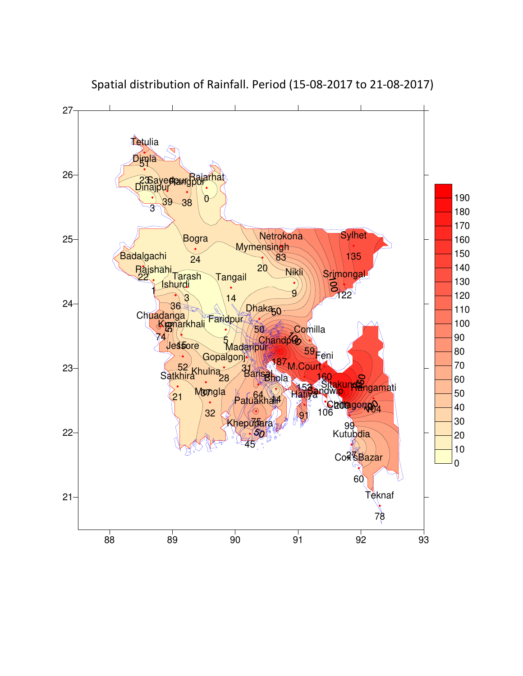

Spatial distribution of Rainfall. Period (15-08-2017 to 21-08-2017)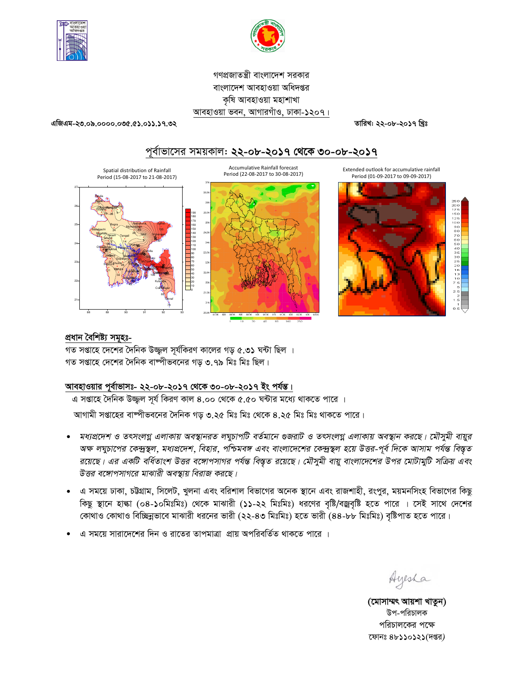



গণপ্রজাতন্ত্রী বাংলাদেশ সরকার বাংলাদেশ আবহাওয়া অধিদপ্তর কৃষি আবহাওয়া মহাশাখা আবহাওয়া ভবন, আগারগাঁও, ঢাকা-১২০৭।

**GwRGg-23.09.0000.035.51.011.17.32 ZvwiL: 22-08-2017 wLªt**

# পূর্বাভাসের সময়কাল: **২২-০৮-২০১৭ থেকে ৩০-০৮-২০১৭**



## প্ৰধান বৈশিষ্ট্য সমূহঃ-

গত সপ্তাহে দেশের দৈনিক উজ্জল সূর্যকিরণ কালের গড় ৫.৩১ ঘন্টা ছিল । গত সপ্তাহে দেশের দৈনিক বাষ্পীভবনের গড় ৩.৭৯ মিঃ মিঃ ছিল।

#### <u> আবহাওয়ার পূর্বাভাসঃ- ২২-০৮-২০১৭ থেকে ৩০-০৮-২০১৭ ইং পর্যন্ত।</u>

এ সপ্তাহে দৈনিক উজ্জুল সূর্য কিরণ কাল ৪.০০ থেকে ৫.৫০ ঘন্টার মধ্যে থাকতে পারে । আগামী সপ্তাহের বাম্পীভবনের দৈনিক গড় ৩.২৫ মিঃ মিঃ থেকে ৪.২৫ মিঃ মিঃ থাকতে পারে।

- *মধ্যপ্রদেশ ও তৎসংল*গ্ন এলাকায় অবস্থানরত লঘুচাপটি বর্তমানে গুজরাট ও তৎসংলগ্ন এলাকায় অবস্থান করছে। মৌসুমী বায়ুর অক্ষ লঘুচাপের কেন্দ্রস্থল, মধ্যপ্রদেশ, বিহার, পশ্চিমবঙ্গ এবং বাংলাদেশের কেন্দ্রস্থল হয়ে উত্তর-পূর্ব দিকে আসাম পর্যন্ত বিস্তৃত রয়েছে। এর একটি বর্ধিতাংশ উত্তর বঙ্গোপসাগর পর্যন্ত বিস্তৃত রয়েছে। মৌসুমী বায়ু বাংলাদেশের উপর মোটামুটি সক্রিয় এবং *উত্তর বঙ্গোপসাগরে মাঝারী অবস্থায় বিরাজ করছে।*
- এ সময়ে ঢাকা, চট্টগ্রাম, সিলেট, খুলনা এবং বরিশাল বিভাগের অনেক স্থানে এবং রাজশাহী, রংপুর, ময়মনসিংহ বিভাগের কিছু কিছু স্থানে হাল্কা (০৪-১০মিঃমিঃ) থেকে মাঝারী (১১-২২ মিঃমিঃ) ধরণের বৃষ্টি/বজ্রবৃষ্টি হতে পারে । সেই সাথে দেশের কোথাও কোথাও বিচ্ছিন্নভাবে মাঝারী ধরনের ভারী (২২-৪৩ মিঃমিঃ) হতে ভারী (৪৪-৮৮ মিঃমিঃ) বৃষ্টিপাত হতে পারে।
- এ সময়ে সারাদেশের দিন ও রাতের তাপমাত্রা প্রায় অপরিবর্তিত থাকতে পারে ।

Ayesha

(মোসাম্মৎ আয়শা খাতুন) উপ-পরিচালক পরিচালকের পক্ষে ‡dvbt 48110121(`ßi*)*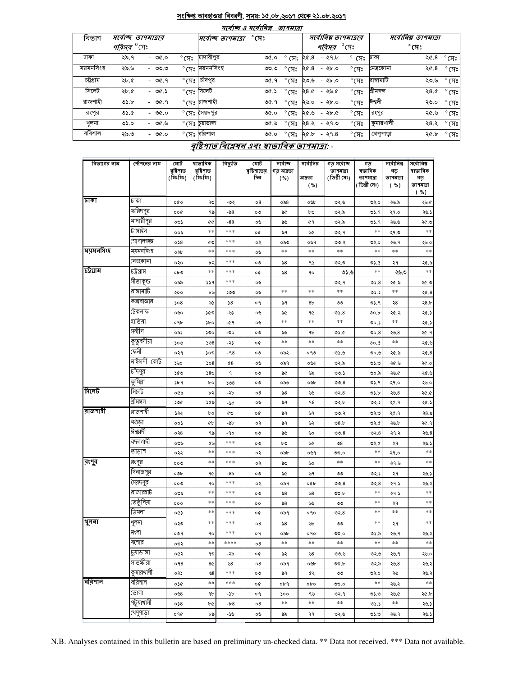#### সংক্ষিপ্ত আবহাওয়া বিবরণী, সময়: ১৫.০৮.২০১৭ থেকে ২১.০৮.২০১৭ صد

 $\overline{\phantom{a}}$ 

| भावाष्ट्र उ भावा।बश्च<br><i>ופואיוט</i> |                                |         |                |                           |              |                |                 |                                      |                      |              |                |  |
|-----------------------------------------|--------------------------------|---------|----------------|---------------------------|--------------|----------------|-----------------|--------------------------------------|----------------------|--------------|----------------|--|
| বিভাগ                                   | সৰ্বোচ্চ তাপমাত্ৰাব            |         |                | সৰ্বোচ্ছ তাপমাত্ৰা        | $^\circ$ সেঃ |                |                 | সর্বোনিম্ন তাপমাত্রার                | সর্বোনিম্ন তাপমাত্রা |              |                |  |
|                                         | <i>'পরিসর <sup>৩</sup></i> সেঃ |         |                |                           |              |                | পরিসর           | $\degree$ মে $\degree$               |                      | $^\circ$ সেঃ |                |  |
| ঢাকা                                    | ২৯.৭                           | - ৩৫.০  | $^{\circ}$ (সঃ | মাদারীপুর                 | ৩৫.০         | সেঃ            | ২৫.৪<br>$-29.5$ | $\circ$<br>সেঃ ঢাকা                  |                      | ২৫.৪         | $^{\circ}$ সেঃ |  |
| ময়মনসিংহ                               | ২৯.৬                           | - ৩৩.৩  |                | $^{\circ}$ সেঃ ময়মনসিংহ  | ৩৩.৩         | $^{\circ}$ (সঃ | ২৫.৪<br>$-86.0$ | $\degree$ C $\overline{H}$ $\degree$ | নেত্রকোনা            | ২৫.৪         | $^{\circ}$ (সঃ |  |
| চট্টগ্ৰাম                               | ২৮.৫                           | $-90.9$ | $^{\circ}$ (সঃ | চাঁদপুর                   | ৩৫.৭         | $^{\circ}$ (সঃ | - ২৮.০<br>২৩.৬  | $^{\circ}$ (সঃ                       | রাঙ্গামাটি           | ২৩.৬         | $^{\circ}$ (সঃ |  |
| সিলেট                                   | ২৮.৫                           | $-96.5$ |                | ° সেঃ সিলেট               | ৩৫.১         | $^{\circ}$ (সঃ | 28.0<br>-২৬.৫   | $^{\circ}$ (সঃ                       | শ্ৰীমঙ্গল            | 28.0         | $^{\circ}$ (সঃ |  |
| রাজশাহী                                 | 0.5                            | - ৩৫.৭  |                | °মেঃ <mark>রাজশাহী</mark> | ৩৫.৭         | $^{\circ}$ (সঃ | - ২৮.০<br>২৬.০  | $^{\circ}$ (সঃ                       | ঈশ্বদী               | ২৬.০         | $\degree$ (সঃ  |  |
| রংপর                                    | 0.6                            | - ৩৫.০  |                | ° সেঃ সেয়দপুর            | 0.90         | $^{\circ}$ (সঃ | -২৮৫<br>২৫.৬    | $^{\circ}$ (সঃ                       | রংপুর                | ২৫.৬         | $^{\circ}$ (সঃ |  |
| খলনা                                    | 0.60                           | - ৩৫.৬  |                | ° সেঃ [চুয়াডাঙ্গা        | ৩৫.৬         | $^{\circ}$ (সঃ | 28.3<br>-২৭৩    | $\degree$ C $\overline{H}$ $\degree$ | কুমারখালী            | ২৪.২         | $^{\circ}$ (সঃ |  |
| বরিশাল                                  | ২৯.৩                           | - ৩৫.০  |                | $^{\circ}$ সেঃ বরিশাল     | ৩৫.০         | $^{\circ}$ (সঃ | ২৫.৮<br>-২৭.৪   | $^{\circ}$ (সঃ                       | খেপুপাড়া            | ২৫.৮         | $^{\circ}$ (সঃ |  |

# বৃষ্টিপাত বিশ্লেষৰ এবং ম্বাভাবিক তাপমাত্ৰা: -

| বিভাগের নাম | স্টেশনের নাম | মোট<br>বৃষ্টিশাত<br>(মিঃমিঃ) | ষাভাবিক<br>বৃষ্টিশাত<br>(মিঃমিঃ) | বিছ্যুতি | মোট<br>বৃষ্টিশাতের<br>দিন | সৰ্বোচ্ছ<br>গড আদ্রতা<br>( %) | সৰ্বোনিম্ন<br>আদ্ৰতা<br>( %) | গড সৰ্বোচ্ছ<br>তাপমাত্রা<br>(ডিগ্ৰী সেঃ) | গড<br>ষভাবিক<br>তাপমাত্রা<br>(ডিগ্ৰী সেঃ) | সৰ্বোনিম্ন<br>গড<br>তাপমাত্রা<br>$(*\%)$ | সৰ্বোনিম্ন<br>ষাভাবিক<br>গড়<br>তাপমাত্রা<br>%) |
|-------------|--------------|------------------------------|----------------------------------|----------|---------------------------|-------------------------------|------------------------------|------------------------------------------|-------------------------------------------|------------------------------------------|-------------------------------------------------|
| ঢাকা        | ঢাকা         | ०७०                          | ৭৩                               | -৩২      | $\circ 8$                 | ০৯৪                           | ০৬৮                          | ৩২.৬                                     | ৩২.০                                      | ২৬.৯                                     | ২৬.৫                                            |
|             | ফরিদপুর      | ००৫                          | ৭৯                               | -৯৪      | ০৩                        | ৯৫                            | ৮৩                           | ৩২.৯                                     | 05.9                                      | ২৭.০                                     | ২৬.১                                            |
|             | মাদারীপুর    | ০৩১                          | QG.                              | $-88$    | ০৬                        | ৯৬                            | 69                           | ৩২.৯                                     | ৩১.৭                                      | ২৬.৬                                     | ২৫.৩                                            |
|             | টাঙ্গাইল     | ००৯                          | $***$                            | ***      | o¢                        | ৯৭                            | ৬২                           | ৩২.৭                                     | $***$                                     | ২৭.৩                                     | $\ast\ast$                                      |
|             | গোপালগজ্ঞ    | 0.58                         | ৫৩                               | ***      | ০২                        | ০৯৩                           | ০৬৭                          | 00.2                                     | ৩২.০                                      | ২৬.৭                                     | ২৬.০                                            |
| ময়মনসিংহ   | ময়মনসিংহ    | ০২৮                          | $***$                            | ***      | ০৬                        | $***$                         | $***$                        | $\ast\ast$                               | $***$                                     | **                                       | $\ast\ast$                                      |
|             | নেত্ৰকোনা    | ०२०                          | ৮২                               | ***      | ০৩                        | ৯৪                            | ۹১                           | 0.50                                     | 05.6                                      | ২৭                                       | ২৫.৯                                            |
| চউগ্ৰাম     | ঢট্ৰগ্ৰাম    | 0b0                          | **                               | ***      | o¢                        | ৯৪                            | ٩o                           | ৩১.৬                                     | $***$                                     | ২৬.৩                                     | $***$                                           |
|             | সীতাকুন্ড    | ০৯৯                          | 339                              | ***      | ০৬                        |                               |                              | ৩২.৭                                     | 05.8                                      | ২৫.৯                                     | ২৫.৩                                            |
|             | রাঙ্গামার্টি | ২০০                          | ৮৬                               | ১৩৩      | ০৬                        | **                            | **                           | **                                       | 05.5                                      | **                                       | 20.8                                            |
|             | কক্সবাজার    | 508                          | ৯১                               | 58       | ०१                        | ৯৭                            | 8 <sub>b</sub>               | ৩৩                                       | 05.9                                      | ২৪                                       | 28.5                                            |
|             | টেকনাফ       | ০৬০                          | ১৫৩                              | -৬১      | ০৬                        | ৯৫                            | 90                           | 05.8                                     | 00.b                                      | ২৫.২                                     | ২৫.১                                            |
|             | হাতিয়া      | ०१৮                          | $\delta$                         | -৫৭      | ০৬                        | $***$                         | $***$                        | $***$                                    | 00.5                                      | **                                       | ২৫.১                                            |
|             | সন্দ্বীপ     | ০৯১                          | ১৩০                              | -৩০      | ০৩                        | ৯৬                            | ٩b                           | ৩১.৫                                     | 00.8                                      | ২৬.৪                                     | ২৫.৭                                            |
|             | কুতুবদীয়া   | ১০৬                          | 508                              | -22      | o¢                        | **                            | **                           | $***$                                    | ৩০.৫                                      | **                                       | ২৫.৬                                            |
|             | কেনী         | ०२१                          | ১০৩                              | $-98$    | ০৩                        | ০৯২                           | ০৭৩                          | ৩১.৬                                     | ৩০.৬                                      | ২৫.৯                                     | ২৫.৪                                            |
|             | মাইজদী কোর্ট | ১৬০                          | 508                              | $^{68}$  | ০৬                        | ০৯৭                           | ০৬২                          | ৩২.৯                                     | ৩১.৩                                      | ২৫.৬                                     | ২৫.০                                            |
|             | চাঁদপুর      | ১৫৩                          | 580                              | ٩        | ০৩                        | ৯৫                            | ৬৯                           | 00.5                                     | ৩০.৯                                      | ২৬.৫                                     | ২৫.৬                                            |
|             | কুমিল্লা     | ১৮৭                          | bο                               | 508      | ০৩                        | ০৯৬                           | ০৬৮                          | 00.8                                     | 05.9                                      | ২৭.০                                     | ২৬.০                                            |
| সিলেট       | সিলেট        | ০৫৯                          | ৮২                               | -26      | 08                        | ৯৪                            | ৬৬                           | ৩২.৪                                     | ৩১.৮                                      | ২৬.৪                                     | ১.৩۶                                            |
|             | শ্ৰীমঙ্গল    | ১৩৫                          | ১৫৯                              | -26      | ০৬                        | ৯৭                            | ٩8                           | ৩২.৮                                     | ৩২.১                                      | ২৫.৭                                     | ২৫.১                                            |
| রাজশাহী     | রাজশাহী      | ১২২                          | bο                               | ৫৩       | o¢                        | ৯৭                            | ৬৭                           | ৩৩.২                                     | ৩২৩                                       | ২৫.৭                                     | ২8.৯                                            |
|             | বগুডা        | ००১                          | ¢Ь                               | -94      | ०२                        | ৯৭                            | ৬২                           | O8.b                                     | ৩২.৫                                      | ২৬.৮                                     | २৫.१                                            |
|             | ঈশ্বরদী      | ०२8                          | ৭৯                               | -90      | ০৩                        | ৯৬                            | ৬০                           | 00.8                                     | ৩২. $8$                                   | ২৭.২                                     | ২৬.8                                            |
|             | বদলগাঘী      | ০৩৬                          | ৫৬                               | ***      | ০৩                        | ৮৩                            | ৬২                           | $\mathcal{O}8$                           | 0.8                                       | ২৭                                       | ২৬.১                                            |
|             | তাড়াশ       | ০২২                          | $***$                            | ***      | ०२                        | ০৯৮                           | ০৬৭                          | 00.0                                     | **                                        | ২৭.০                                     | $\ast\ast$                                      |
| রংপুর       | রংপুর        | 000                          | $***$                            | ***      | ०२                        | ৯৩                            | ৬০                           | **                                       | **                                        | ২৭.৬                                     | $***$                                           |
|             | দিনাজপুর     | 00b                          | 90                               | -8৯      | ০৩                        | ৯৫                            | ৬৭                           | ৩৩                                       | ৩২.১                                      | ২৭                                       | ২৬.১                                            |
|             | সৈয়দপুর     | 000                          | ٩o                               | ***      | ०२                        | ০৯৭                           | ০৫৮                          | 00.8                                     | ৩২. $8$                                   | ২৭.১                                     | ২৬.২                                            |
|             | রাজারহাট     | ০৩৯                          | $***$                            | ***      | ০৩                        | ৯৪                            | ৬৪                           | ৩৩.৮                                     | $***$                                     | ২৭.১                                     | $\ast\ast$                                      |
|             | তেতুঁলিয়া   | 000                          | $***$                            | ***      | $^{\circ}$                | ৯৪                            | ৬৬                           | ৩৩                                       | $***$                                     | ২৭                                       | $\ast\ast$                                      |
|             | ডিমলা        | ०৫১                          | $***$                            | ***      | o¢                        | ০৯৭                           | 090                          | ৩২. $8$                                  | **                                        | **                                       | $\ast\ast$                                      |
| থুলনা       | থুলনা        | ০২৩                          | **                               | ***      | ο8                        | ৯৪                            | ৬৮                           | ৩৩                                       | **                                        | ২৭                                       | **                                              |
|             | মংলা         | ०७१                          | ٩o                               | ***      | o٩                        | ০৯৮                           | ०१०                          | 00.0                                     | ৩১.৯                                      | ২৬.৭                                     | ২৬.২                                            |
|             | যশোর         | ০৩২                          | **                               | ****     | о8                        | **                            | **                           | **                                       | **                                        | **                                       | **                                              |
|             | চুয়াডাঙ্গা  | ০৫২                          | ৭৩                               | -59      | o¢                        | ৯২                            | ৬৪                           | 00.6                                     | ৩২.৬                                      | ২৬.৭                                     | ২৬.০                                            |
|             | সাতক্ষীরা    | 098                          | 8¢                               | ৬৪       | $\circ 8$                 | ০৯৭                           | ০৬৮                          | ৩৩.৮                                     | ৩২.৯                                      | 20.8                                     | ২৬.২                                            |
|             | কুমারখালী    | ০২১                          | 98                               | ***      | ০৩                        | ৯৭                            | ৫২                           | ৩৩                                       | ৩২.০                                      | ২৬                                       | ২৬.২                                            |
| বরিশাল      | বরিশাল       | ०১৫                          | $***$                            | ***      | o¢                        | ०৮৭                           | opo                          | ৩৩.০                                     | $***$                                     | ২৬.২                                     | $\ast\ast$                                      |
|             | ভোলা         | ০৬৪                          | ٩b                               | -১৮      | ०१                        | ১০০                           | ৭৬                           | ৩২.৭                                     | 0.0                                       | ২৬.৫                                     | ২৫.৮                                            |
|             | পটুয়াথালী   | 058                          | ৮৫                               | -18      | 08                        | **                            | **                           | $***$                                    | 05.5                                      | **                                       | ২৬.১                                            |
|             | খেপুপাড়া    | ०१৫                          | ৮৯                               | -১৬      | ০৬                        | ৯৯                            | ۹۹                           | ৩২.৬                                     | 0.5                                       | ২৬.৭                                     | ২৬.১                                            |

N.B. Analyses contained in this bulletin are based on preliminary un-checked data. \*\* Data not received. \*\*\* Data not available.